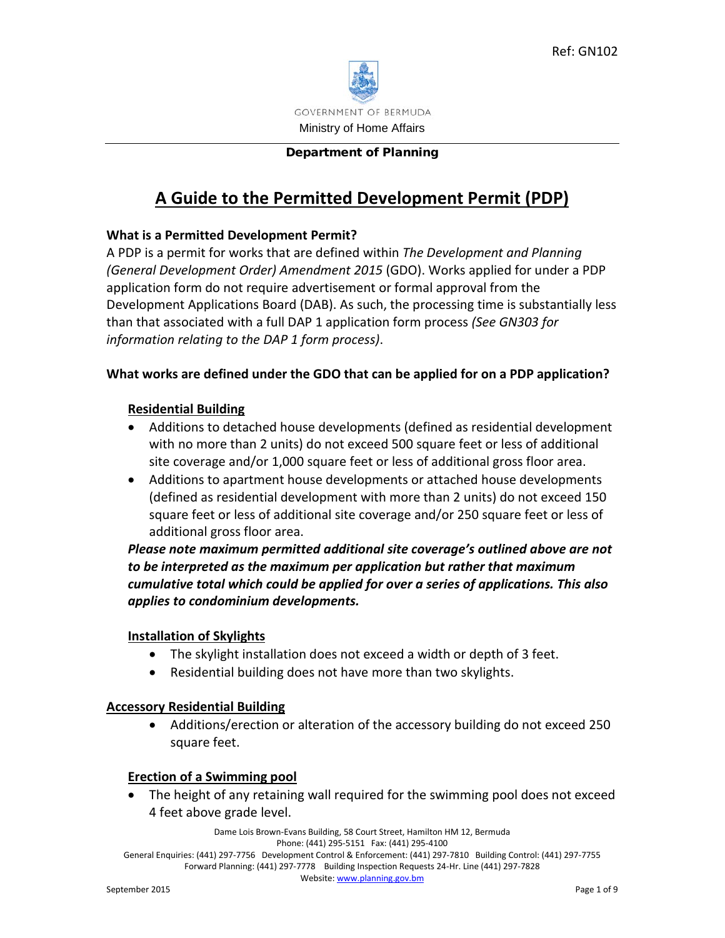

# **A Guide to the Permitted Development Permit (PDP)**

### **What is a Permitted Development Permit?**

A PDP is a permit for works that are defined within *The Development and Planning (General Development Order) Amendment 2015* (GDO). Works applied for under a PDP application form do not require advertisement or formal approval from the Development Applications Board (DAB). As such, the processing time is substantially less than that associated with a full DAP 1 application form process *(See GN303 for information relating to the DAP 1 form process)*.

# **What works are defined under the GDO that can be applied for on a PDP application?**

#### **Residential Building**

- Additions to detached house developments (defined as residential development with no more than 2 units) do not exceed 500 square feet or less of additional site coverage and/or 1,000 square feet or less of additional gross floor area.
- Additions to apartment house developments or attached house developments (defined as residential development with more than 2 units) do not exceed 150 square feet or less of additional site coverage and/or 250 square feet or less of additional gross floor area.

*Please note maximum permitted additional site coverage's outlined above are not to be interpreted as the maximum per application but rather that maximum cumulative total which could be applied for over a series of applications. This also applies to condominium developments.* 

#### **Installation of Skylights**

- The skylight installation does not exceed a width or depth of 3 feet.
- Residential building does not have more than two skylights.

#### **Accessory Residential Building**

• Additions/erection or alteration of the accessory building do not exceed 250 square feet.

#### **Erection of a Swimming pool**

• The height of any retaining wall required for the swimming pool does not exceed 4 feet above grade level.

Dame Lois Brown-Evans Building, 58 Court Street, Hamilton HM 12, Bermuda Phone: (441) 295-5151 Fax: (441) 295-4100 General Enquiries: (441) 297-7756 Development Control & Enforcement: (441) 297-7810 Building Control: (441) 297-7755

Forward Planning: (441) 297-7778 Building Inspection Requests 24-Hr. Line (441) 297-7828 Website[: www.planning.gov.bm](http://www.planning.gov.bm/)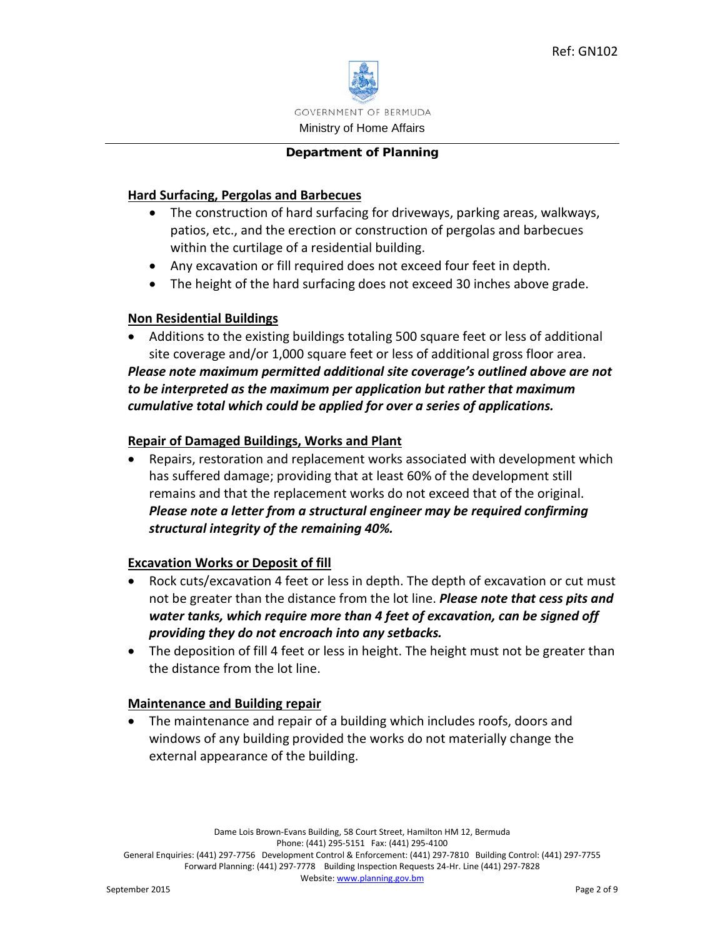

#### **Hard Surfacing, Pergolas and Barbecues**

- The construction of hard surfacing for driveways, parking areas, walkways, patios, etc., and the erection or construction of pergolas and barbecues within the curtilage of a residential building.
- Any excavation or fill required does not exceed four feet in depth.
- The height of the hard surfacing does not exceed 30 inches above grade.

# **Non Residential Buildings**

• Additions to the existing buildings totaling 500 square feet or less of additional site coverage and/or 1,000 square feet or less of additional gross floor area.

*Please note maximum permitted additional site coverage's outlined above are not to be interpreted as the maximum per application but rather that maximum cumulative total which could be applied for over a series of applications.*

#### **Repair of Damaged Buildings, Works and Plant**

• Repairs, restoration and replacement works associated with development which has suffered damage; providing that at least 60% of the development still remains and that the replacement works do not exceed that of the original. *Please note a letter from a structural engineer may be required confirming structural integrity of the remaining 40%.*

#### **Excavation Works or Deposit of fill**

- Rock cuts/excavation 4 feet or less in depth. The depth of excavation or cut must not be greater than the distance from the lot line. *Please note that cess pits and water tanks, which require more than 4 feet of excavation, can be signed off providing they do not encroach into any setbacks.*
- The deposition of fill 4 feet or less in height. The height must not be greater than the distance from the lot line.

# **Maintenance and Building repair**

• The maintenance and repair of a building which includes roofs, doors and windows of any building provided the works do not materially change the external appearance of the building.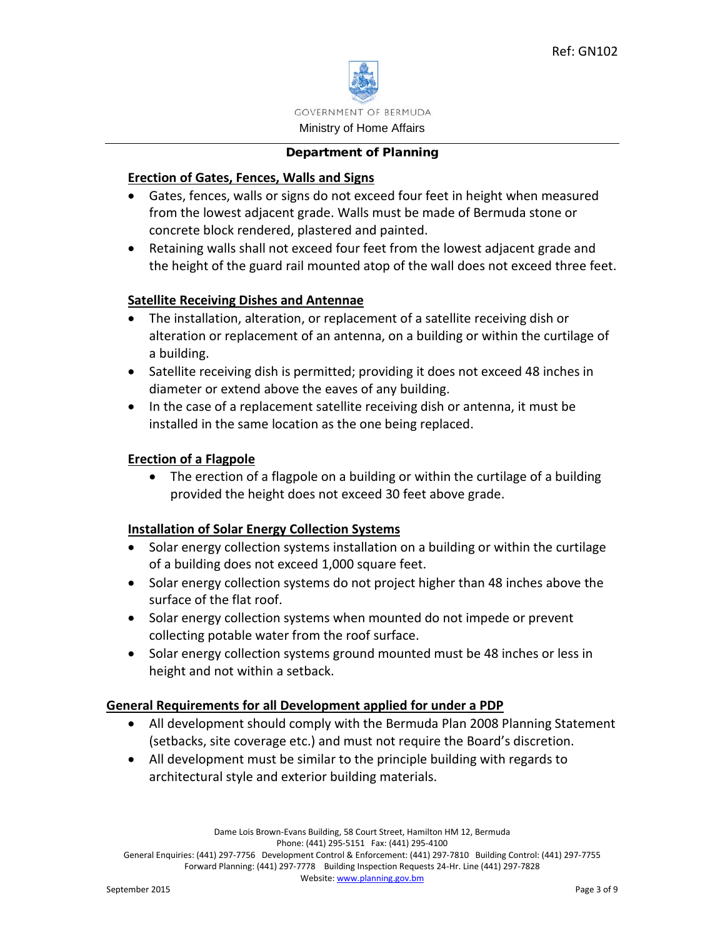

#### **Erection of Gates, Fences, Walls and Signs**

- Gates, fences, walls or signs do not exceed four feet in height when measured from the lowest adjacent grade. Walls must be made of Bermuda stone or concrete block rendered, plastered and painted.
- Retaining walls shall not exceed four feet from the lowest adjacent grade and the height of the guard rail mounted atop of the wall does not exceed three feet.

#### **Satellite Receiving Dishes and Antennae**

- The installation, alteration, or replacement of a satellite receiving dish or alteration or replacement of an antenna, on a building or within the curtilage of a building.
- Satellite receiving dish is permitted; providing it does not exceed 48 inches in diameter or extend above the eaves of any building.
- In the case of a replacement satellite receiving dish or antenna, it must be installed in the same location as the one being replaced.

#### **Erection of a Flagpole**

• The erection of a flagpole on a building or within the curtilage of a building provided the height does not exceed 30 feet above grade.

#### **Installation of Solar Energy Collection Systems**

- Solar energy collection systems installation on a building or within the curtilage of a building does not exceed 1,000 square feet.
- Solar energy collection systems do not project higher than 48 inches above the surface of the flat roof.
- Solar energy collection systems when mounted do not impede or prevent collecting potable water from the roof surface.
- Solar energy collection systems ground mounted must be 48 inches or less in height and not within a setback.

# **General Requirements for all Development applied for under a PDP**

- All development should comply with the Bermuda Plan 2008 Planning Statement (setbacks, site coverage etc.) and must not require the Board's discretion.
- All development must be similar to the principle building with regards to architectural style and exterior building materials.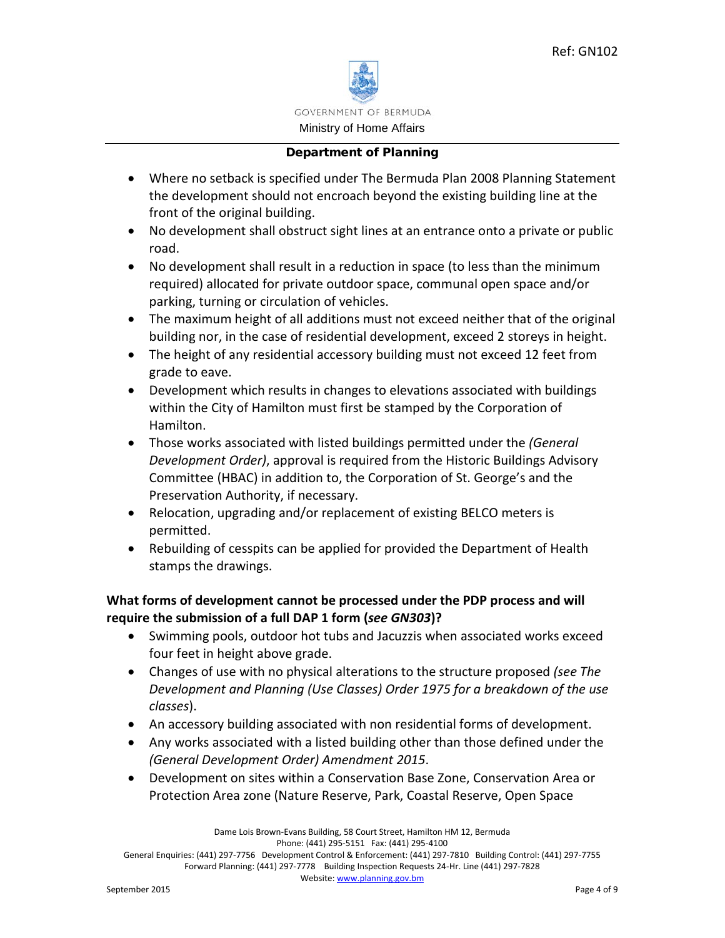

- Where no setback is specified under The Bermuda Plan 2008 Planning Statement the development should not encroach beyond the existing building line at the front of the original building.
- No development shall obstruct sight lines at an entrance onto a private or public road.
- No development shall result in a reduction in space (to less than the minimum required) allocated for private outdoor space, communal open space and/or parking, turning or circulation of vehicles.
- The maximum height of all additions must not exceed neither that of the original building nor, in the case of residential development, exceed 2 storeys in height.
- The height of any residential accessory building must not exceed 12 feet from grade to eave.
- Development which results in changes to elevations associated with buildings within the City of Hamilton must first be stamped by the Corporation of Hamilton.
- Those works associated with listed buildings permitted under the *(General Development Order)*, approval is required from the Historic Buildings Advisory Committee (HBAC) in addition to, the Corporation of St. George's and the Preservation Authority, if necessary.
- Relocation, upgrading and/or replacement of existing BELCO meters is permitted.
- Rebuilding of cesspits can be applied for provided the Department of Health stamps the drawings.

# **What forms of development cannot be processed under the PDP process and will require the submission of a full DAP 1 form (***see GN303***)?**

- Swimming pools, outdoor hot tubs and Jacuzzis when associated works exceed four feet in height above grade.
- Changes of use with no physical alterations to the structure proposed *(see The Development and Planning (Use Classes) Order 1975 for a breakdown of the use classes*).
- An accessory building associated with non residential forms of development.
- Any works associated with a listed building other than those defined under the *(General Development Order) Amendment 2015*.
- Development on sites within a Conservation Base Zone, Conservation Area or Protection Area zone (Nature Reserve, Park, Coastal Reserve, Open Space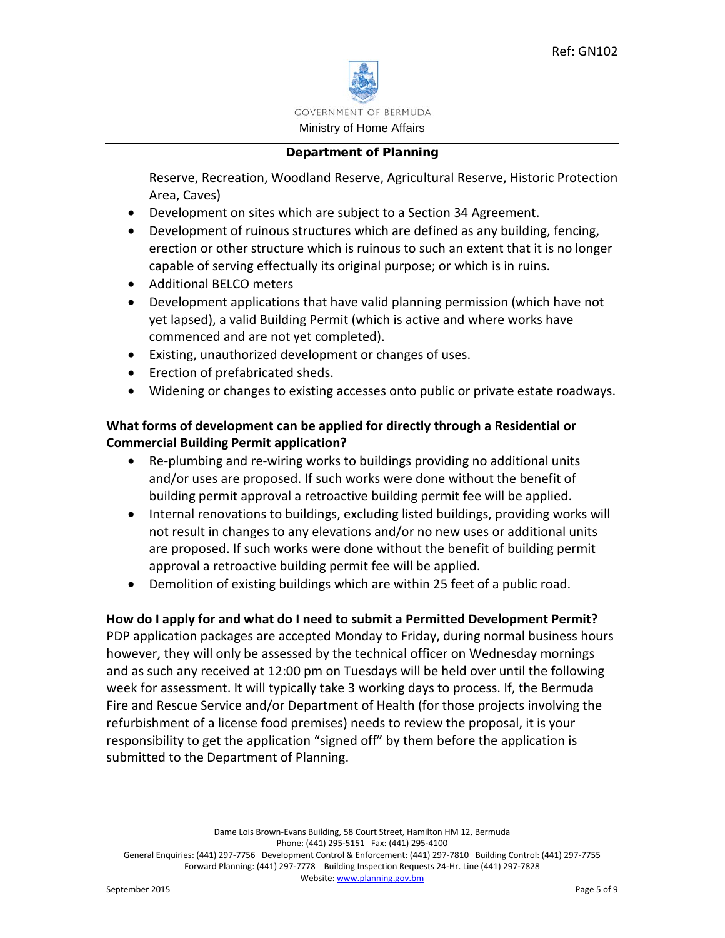

Reserve, Recreation, Woodland Reserve, Agricultural Reserve, Historic Protection Area, Caves)

- Development on sites which are subject to a Section 34 Agreement.
- Development of ruinous structures which are defined as any building, fencing, erection or other structure which is ruinous to such an extent that it is no longer capable of serving effectually its original purpose; or which is in ruins.
- Additional BELCO meters
- Development applications that have valid planning permission (which have not yet lapsed), a valid Building Permit (which is active and where works have commenced and are not yet completed).
- Existing, unauthorized development or changes of uses.
- Erection of prefabricated sheds.
- Widening or changes to existing accesses onto public or private estate roadways.

# **What forms of development can be applied for directly through a Residential or Commercial Building Permit application?**

- Re-plumbing and re-wiring works to buildings providing no additional units and/or uses are proposed. If such works were done without the benefit of building permit approval a retroactive building permit fee will be applied.
- Internal renovations to buildings, excluding listed buildings, providing works will not result in changes to any elevations and/or no new uses or additional units are proposed. If such works were done without the benefit of building permit approval a retroactive building permit fee will be applied.
- Demolition of existing buildings which are within 25 feet of a public road.

# **How do I apply for and what do I need to submit a Permitted Development Permit?**

PDP application packages are accepted Monday to Friday, during normal business hours however, they will only be assessed by the technical officer on Wednesday mornings and as such any received at 12:00 pm on Tuesdays will be held over until the following week for assessment. It will typically take 3 working days to process. If, the Bermuda Fire and Rescue Service and/or Department of Health (for those projects involving the refurbishment of a license food premises) needs to review the proposal, it is your responsibility to get the application "signed off" by them before the application is submitted to the Department of Planning.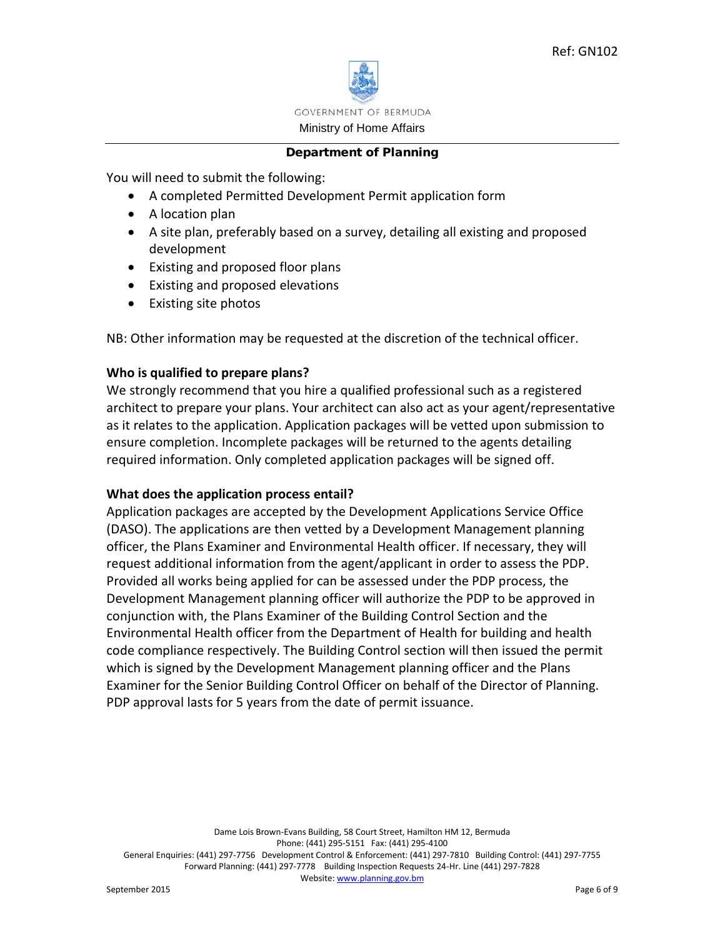

You will need to submit the following:

- A completed Permitted Development Permit application form
- A location plan
- A site plan, preferably based on a survey, detailing all existing and proposed development
- Existing and proposed floor plans
- Existing and proposed elevations
- Existing site photos

NB: Other information may be requested at the discretion of the technical officer.

#### **Who is qualified to prepare plans?**

We strongly recommend that you hire a qualified professional such as a registered architect to prepare your plans. Your architect can also act as your agent/representative as it relates to the application. Application packages will be vetted upon submission to ensure completion. Incomplete packages will be returned to the agents detailing required information. Only completed application packages will be signed off.

# **What does the application process entail?**

Application packages are accepted by the Development Applications Service Office (DASO). The applications are then vetted by a Development Management planning officer, the Plans Examiner and Environmental Health officer. If necessary, they will request additional information from the agent/applicant in order to assess the PDP. Provided all works being applied for can be assessed under the PDP process, the Development Management planning officer will authorize the PDP to be approved in conjunction with, the Plans Examiner of the Building Control Section and the Environmental Health officer from the Department of Health for building and health code compliance respectively. The Building Control section will then issued the permit which is signed by the Development Management planning officer and the Plans Examiner for the Senior Building Control Officer on behalf of the Director of Planning. PDP approval lasts for 5 years from the date of permit issuance.

Dame Lois Brown-Evans Building, 58 Court Street, Hamilton HM 12, Bermuda Phone: (441) 295-5151 Fax: (441) 295-4100 General Enquiries: (441) 297-7756 Development Control & Enforcement: (441) 297-7810 Building Control: (441) 297-7755 Forward Planning: (441) 297-7778 Building Inspection Requests 24-Hr. Line (441) 297-7828 Website[: www.planning.gov.bm](http://www.planning.gov.bm/)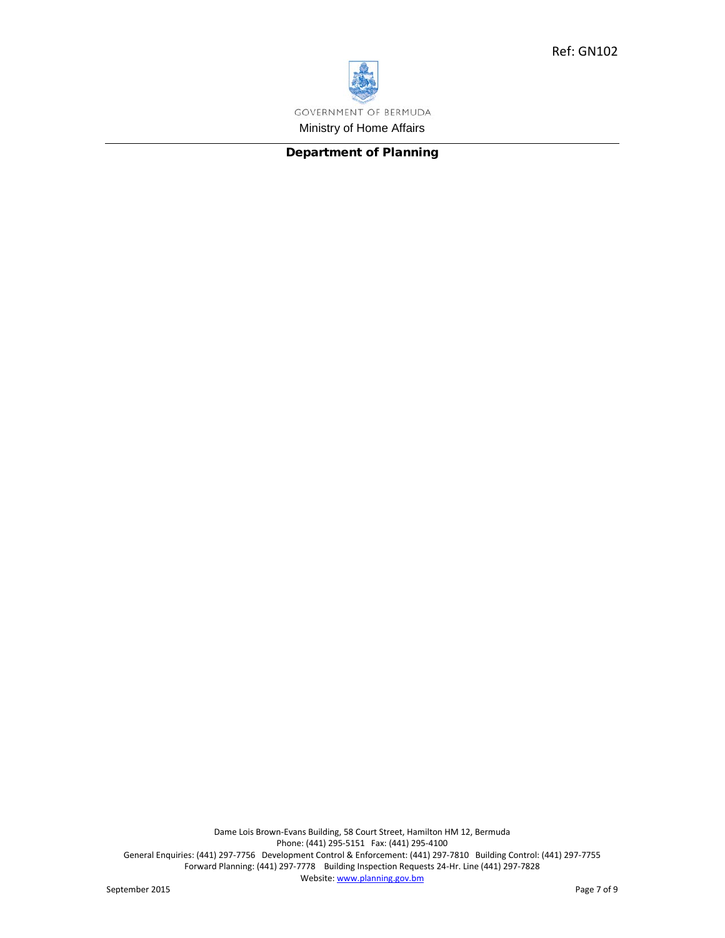

Dame Lois Brown-Evans Building, 58 Court Street, Hamilton HM 12, Bermuda Phone: (441) 295-5151 Fax: (441) 295-4100 General Enquiries: (441) 297-7756 Development Control & Enforcement: (441) 297-7810 Building Control: (441) 297-7755 Forward Planning: (441) 297-7778 Building Inspection Requests 24-Hr. Line (441) 297-7828 Website[: www.planning.gov.bm](http://www.planning.gov.bm/)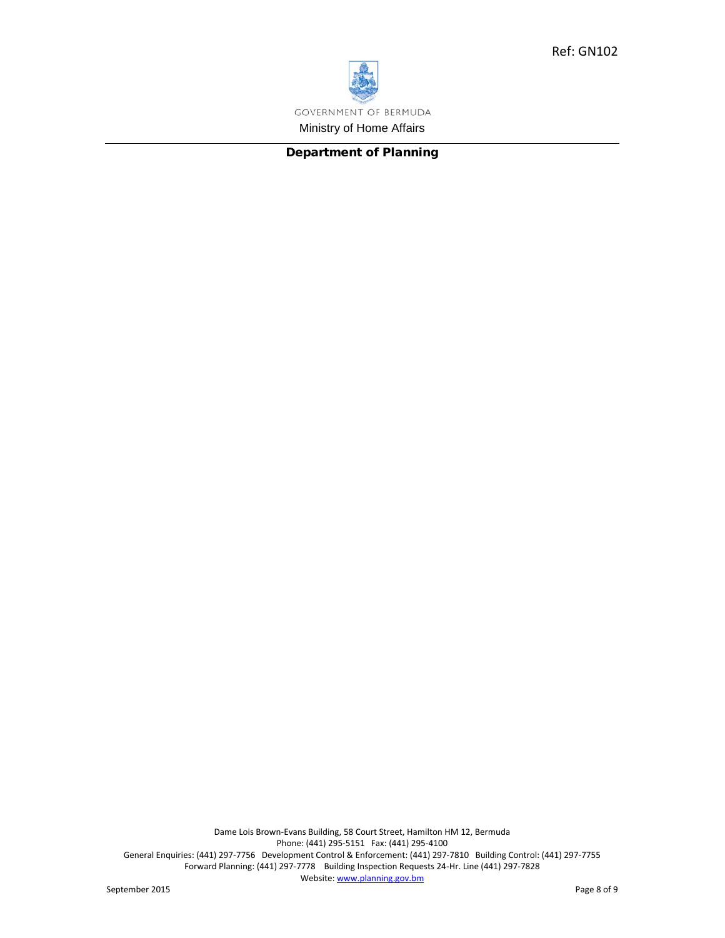

Dame Lois Brown-Evans Building, 58 Court Street, Hamilton HM 12, Bermuda Phone: (441) 295-5151 Fax: (441) 295-4100 General Enquiries: (441) 297-7756 Development Control & Enforcement: (441) 297-7810 Building Control: (441) 297-7755 Forward Planning: (441) 297-7778 Building Inspection Requests 24-Hr. Line (441) 297-7828 Website[: www.planning.gov.bm](http://www.planning.gov.bm/)